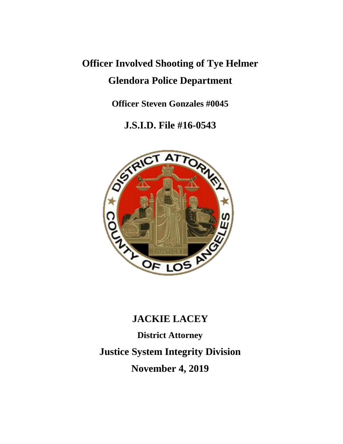# **Officer Involved Shooting of Tye Helmer Glendora Police Department**

**Officer Steven Gonzales #0045**

**J.S.I.D. File #16-0543**



## **JACKIE LACEY**

**District Attorney Justice System Integrity Division November 4, 2019**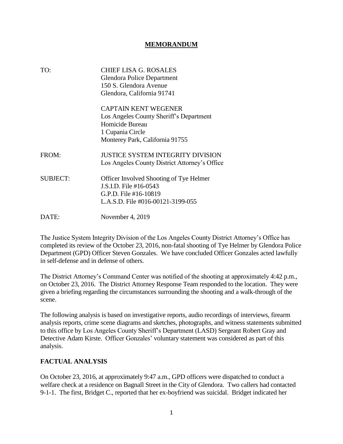#### **MEMORANDUM**

| TO:             | CHIEF LISA G. ROSALES<br>Glendora Police Department<br>150 S. Glendora Avenue<br>Glendora, California 91741                                      |
|-----------------|--------------------------------------------------------------------------------------------------------------------------------------------------|
|                 | <b>CAPTAIN KENT WEGENER</b><br>Los Angeles County Sheriff's Department<br>Homicide Bureau<br>1 Cupania Circle<br>Monterey Park, California 91755 |
| FROM:           | JUSTICE SYSTEM INTEGRITY DIVISION<br>Los Angeles County District Attorney's Office                                                               |
| <b>SUBJECT:</b> | Officer Involved Shooting of Tye Helmer<br>J.S.I.D. File #16-0543<br>G.P.D. File #16-10819<br>L.A.S.D. File #016-00121-3199-055                  |
| DATE:           | November 4, 2019                                                                                                                                 |

The Justice System Integrity Division of the Los Angeles County District Attorney's Office has completed its review of the October 23, 2016, non-fatal shooting of Tye Helmer by Glendora Police Department (GPD) Officer Steven Gonzales. We have concluded Officer Gonzales acted lawfully in self-defense and in defense of others.

The District Attorney's Command Center was notified of the shooting at approximately 4:42 p.m., on October 23, 2016. The District Attorney Response Team responded to the location. They were given a briefing regarding the circumstances surrounding the shooting and a walk-through of the scene.

The following analysis is based on investigative reports, audio recordings of interviews, firearm analysis reports, crime scene diagrams and sketches, photographs, and witness statements submitted to this office by Los Angeles County Sheriff's Department (LASD) Sergeant Robert Gray and Detective Adam Kirste. Officer Gonzales' voluntary statement was considered as part of this analysis.

#### **FACTUAL ANALYSIS**

On October 23, 2016, at approximately 9:47 a.m., GPD officers were dispatched to conduct a welfare check at a residence on Bagnall Street in the City of Glendora. Two callers had contacted 9-1-1. The first, Bridget C., reported that her ex-boyfriend was suicidal. Bridget indicated her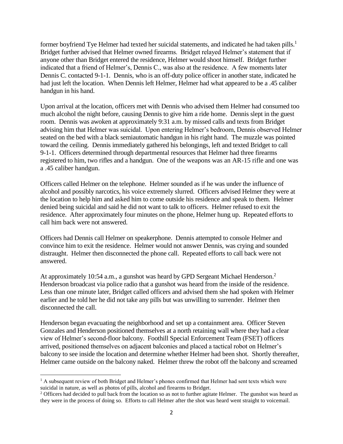former boyfriend Tye Helmer had texted her suicidal statements, and indicated he had taken pills.<sup>1</sup> Bridget further advised that Helmer owned firearms. Bridget relayed Helmer's statement that if anyone other than Bridget entered the residence, Helmer would shoot himself. Bridget further indicated that a friend of Helmer's, Dennis C., was also at the residence. A few moments later Dennis C. contacted 9-1-1. Dennis, who is an off-duty police officer in another state, indicated he had just left the location. When Dennis left Helmer, Helmer had what appeared to be a .45 caliber handgun in his hand.

Upon arrival at the location, officers met with Dennis who advised them Helmer had consumed too much alcohol the night before, causing Dennis to give him a ride home. Dennis slept in the guest room. Dennis was awoken at approximately 9:31 a.m. by missed calls and texts from Bridget advising him that Helmer was suicidal. Upon entering Helmer's bedroom, Dennis observed Helmer seated on the bed with a black semiautomatic handgun in his right hand. The muzzle was pointed toward the ceiling. Dennis immediately gathered his belongings, left and texted Bridget to call 9-1-1. Officers determined through departmental resources that Helmer had three firearms registered to him, two rifles and a handgun. One of the weapons was an AR-15 rifle and one was a .45 caliber handgun.

Officers called Helmer on the telephone. Helmer sounded as if he was under the influence of alcohol and possibly narcotics, his voice extremely slurred. Officers advised Helmer they were at the location to help him and asked him to come outside his residence and speak to them. Helmer denied being suicidal and said he did not want to talk to officers. Helmer refused to exit the residence. After approximately four minutes on the phone, Helmer hung up. Repeated efforts to call him back were not answered.

Officers had Dennis call Helmer on speakerphone. Dennis attempted to console Helmer and convince him to exit the residence. Helmer would not answer Dennis, was crying and sounded distraught. Helmer then disconnected the phone call. Repeated efforts to call back were not answered.

At approximately 10:54 a.m., a gunshot was heard by GPD Sergeant Michael Henderson.<sup>2</sup> Henderson broadcast via police radio that a gunshot was heard from the inside of the residence. Less than one minute later, Bridget called officers and advised them she had spoken with Helmer earlier and he told her he did not take any pills but was unwilling to surrender. Helmer then disconnected the call.

Henderson began evacuating the neighborhood and set up a containment area. Officer Steven Gonzales and Henderson positioned themselves at a north retaining wall where they had a clear view of Helmer's second-floor balcony. Foothill Special Enforcement Team (FSET) officers arrived, positioned themselves on adjacent balconies and placed a tactical robot on Helmer's balcony to see inside the location and determine whether Helmer had been shot. Shortly thereafter, Helmer came outside on the balcony naked. Helmer threw the robot off the balcony and screamed

<sup>&</sup>lt;sup>1</sup> A subsequent review of both Bridget and Helmer's phones confirmed that Helmer had sent texts which were suicidal in nature, as well as photos of pills, alcohol and firearms to Bridget.

<sup>&</sup>lt;sup>2</sup> Officers had decided to pull back from the location so as not to further agitate Helmer. The gunshot was heard as they were in the process of doing so. Efforts to call Helmer after the shot was heard went straight to voicemail.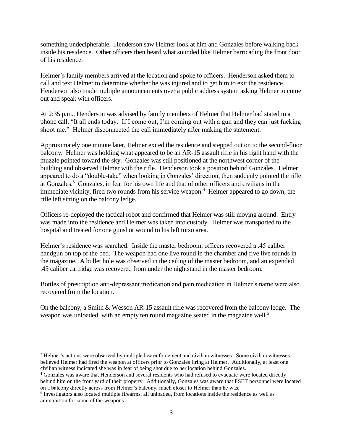something undecipherable. Henderson saw Helmer look at him and Gonzales before walking back inside his residence. Other officers then heard what sounded like Helmer barricading the front door of his residence.

Helmer's family members arrived at the location and spoke to officers. Henderson asked them to call and text Helmer to determine whether he was injured and to get him to exit the residence. Henderson also made multiple announcements over a public address system asking Helmer to come out and speak with officers.

At 2:35 p.m., Henderson was advised by family members of Helmer that Helmer had stated in a phone call, "It all ends today. If I come out, I'm coming out with a gun and they can just fucking shoot me." Helmer disconnected the call immediately after making the statement.

Approximately one minute later, Helmer exited the residence and stepped out on to the second-floor balcony. Helmer was holding what appeared to be an AR-15 assault rifle in his right hand with the muzzle pointed toward the sky. Gonzales was still positioned at the northwest corner of the building and observed Helmer with the rifle. Henderson took a position behind Gonzales. Helmer appeared to do a "double-take" when looking in Gonzales' direction, then suddenly pointed the rifle at Gonzales.<sup>3</sup> Gonzales, in fear for his own life and that of other officers and civilians in the immediate vicinity, fired two rounds from his service weapon.<sup>4</sup> Helmer appeared to go down, the rifle left sitting on the balcony ledge.

Officers re-deployed the tactical robot and confirmed that Helmer was still moving around. Entry was made into the residence and Helmer was taken into custody. Helmer was transported to the hospital and treated for one gunshot wound to his left torso area.

Helmer's residence was searched. Inside the master bedroom, officers recovered a .45 caliber handgun on top of the bed. The weapon had one live round in the chamber and five live rounds in the magazine. A bullet hole was observed in the ceiling of the master bedroom, and an expended .45 caliber cartridge was recovered from under the nightstand in the master bedroom.

Bottles of prescription anti-depressant medication and pain medication in Helmer's name were also recovered from the location.

On the balcony, a Smith & Wesson AR-15 assault rifle was recovered from the balcony ledge. The weapon was unloaded, with an empty ten round magazine seated in the magazine well.<sup>5</sup>

<sup>3</sup> Helmer's actions were observed by multiple law enforcement and civilian witnesses. Some civilian witnesses believed Helmer had fired the weapon at officers prior to Gonzales firing at Helmer. Additionally, at least one civilian witness indicated she was in fear of being shot due to her location behind Gonzales.

<sup>4</sup> Gonzales was aware that Henderson and several residents who had refused to evacuate were located directly behind him on the front yard of their property. Additionally, Gonzales was aware that FSET personnel were located on a balcony directly across from Helmer's balcony, much closer to Helmer than he was.

<sup>&</sup>lt;sup>5</sup> Investigators also located multiple firearms, all unloaded, from locations inside the residence as well as ammunition for some of the weapons.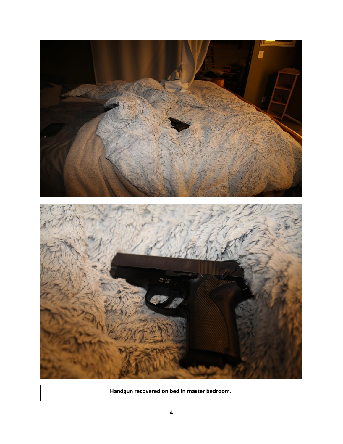

**Handgun recovered on bed in master bedroom.**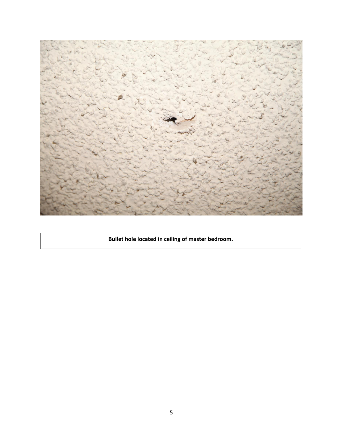

**Bullet hole located in ceiling of master bedroom.**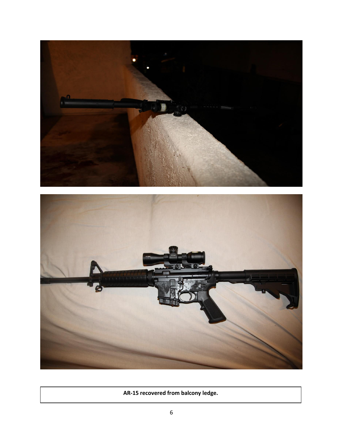



**AR-15 recovered from balcony ledge.**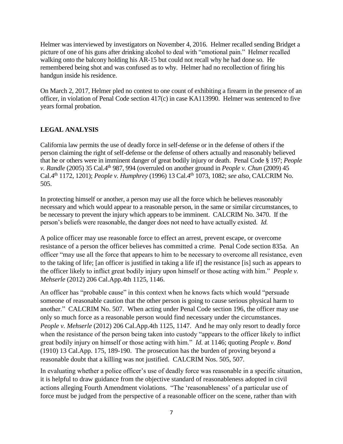Helmer was interviewed by investigators on November 4, 2016. Helmer recalled sending Bridget a picture of one of his guns after drinking alcohol to deal with "emotional pain." Helmer recalled walking onto the balcony holding his AR-15 but could not recall why he had done so. He remembered being shot and was confused as to why. Helmer had no recollection of firing his handgun inside his residence.

On March 2, 2017, Helmer pled no contest to one count of exhibiting a firearm in the presence of an officer, in violation of Penal Code section 417(c) in case KA113990. Helmer was sentenced to five years formal probation.

### **LEGAL ANALYSIS**

California law permits the use of deadly force in self-defense or in the defense of others if the person claiming the right of self-defense or the defense of others actually and reasonably believed that he or others were in imminent danger of great bodily injury or death. Penal Code § 197; *People v. Randle* (2005) 35 Cal.4th 987, 994 (overruled on another ground in *People v. Chun* (2009) 45 Cal.4th 1172, 1201); *People v. Humphrey* (1996) 13 Cal.4th 1073, 1082; *see also,* CALCRIM No. 505.

In protecting himself or another, a person may use all the force which he believes reasonably necessary and which would appear to a reasonable person, in the same or similar circumstances, to be necessary to prevent the injury which appears to be imminent. CALCRIM No. 3470. If the person's beliefs were reasonable, the danger does not need to have actually existed. *Id.*

A police officer may use reasonable force to effect an arrest, prevent escape, or overcome resistance of a person the officer believes has committed a crime. Penal Code section 835a. An officer "may use all the force that appears to him to be necessary to overcome all resistance, even to the taking of life; [an officer is justified in taking a life if] the resistance [is] such as appears to the officer likely to inflict great bodily injury upon himself or those acting with him." *People v. Mehserle* (2012) 206 Cal.App.4th 1125, 1146.

An officer has "probable cause" in this context when he knows facts which would "persuade someone of reasonable caution that the other person is going to cause serious physical harm to another." CALCRIM No. 507. When acting under Penal Code section 196, the officer may use only so much force as a reasonable person would find necessary under the circumstances. *People v. Mehserle* (2012) 206 Cal.App.4th 1125, 1147. And he may only resort to deadly force when the resistance of the person being taken into custody "appears to the officer likely to inflict great bodily injury on himself or those acting with him." *Id.* at 1146; quoting *People v. Bond* (1910) 13 Cal.App. 175, 189-190. The prosecution has the burden of proving beyond a reasonable doubt that a killing was not justified. CALCRIM Nos. 505, 507.

In evaluating whether a police officer's use of deadly force was reasonable in a specific situation, it is helpful to draw guidance from the objective standard of reasonableness adopted in civil actions alleging Fourth Amendment violations. "The 'reasonableness' of a particular use of force must be judged from the perspective of a reasonable officer on the scene, rather than with